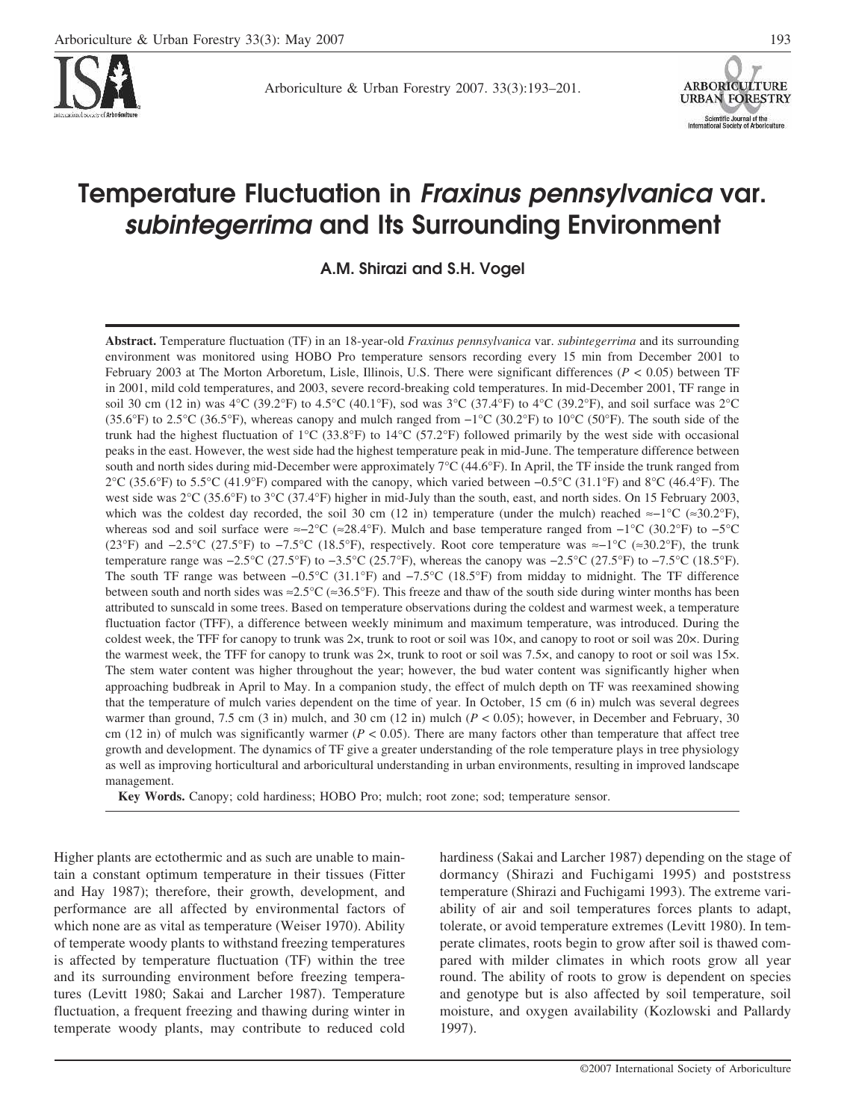

Arboriculture & Urban Forestry 2007. 33(3):193–201.



## **Temperature Fluctuation in** *Fraxinus pennsylvanica* **var.** *subintegerrima* **and Its Surrounding Environment**

**A.M. Shirazi and S.H. Vogel**

**Abstract.** Temperature fluctuation (TF) in an 18-year-old *Fraxinus pennsylvanica* var. *subintegerrima* and its surrounding environment was monitored using HOBO Pro temperature sensors recording every 15 min from December 2001 to February 2003 at The Morton Arboretum, Lisle, Illinois, U.S. There were significant differences (*P <* 0.05) between TF in 2001, mild cold temperatures, and 2003, severe record-breaking cold temperatures. In mid-December 2001, TF range in soil 30 cm (12 in) was  $4^{\circ}$ C (39.2°F) to 4.5°C (40.1°F), sod was  $3^{\circ}$ C (37.4°F) to  $4^{\circ}$ C (39.2°F), and soil surface was  $2^{\circ}$ C (35.6°F) to 2.5°C (36.5°F), whereas canopy and mulch ranged from −1°C (30.2°F) to 10°C (50°F). The south side of the trunk had the highest fluctuation of  $1^{\circ}C$  (33.8°F) to  $14^{\circ}C$  (57.2°F) followed primarily by the west side with occasional peaks in the east. However, the west side had the highest temperature peak in mid-June. The temperature difference between south and north sides during mid-December were approximately 7°C (44.6°F). In April, the TF inside the trunk ranged from 2°C (35.6°F) to 5.5°C (41.9°F) compared with the canopy, which varied between −0.5°C (31.1°F) and 8°C (46.4°F). The west side was 2°C (35.6°F) to 3°C (37.4°F) higher in mid-July than the south, east, and north sides. On 15 February 2003, which was the coldest day recorded, the soil 30 cm (12 in) temperature (under the mulch) reached ≈−1°C (≈30.2°F), whereas sod and soil surface were ≈−2°C (≈28.4°F). Mulch and base temperature ranged from −1°C (30.2°F) to −5°C (23°F) and −2.5°C (27.5°F) to −7.5°C (18.5°F), respectively. Root core temperature was ≈−1°C (≈30.2°F), the trunk temperature range was −2.5°C (27.5°F) to −3.5°C (25.7°F), whereas the canopy was −2.5°C (27.5°F) to −7.5°C (18.5°F). The south TF range was between −0.5°C (31.1°F) and −7.5°C (18.5°F) from midday to midnight. The TF difference between south and north sides was ≈2.5°C (≈36.5°F). This freeze and thaw of the south side during winter months has been attributed to sunscald in some trees. Based on temperature observations during the coldest and warmest week, a temperature fluctuation factor (TFF), a difference between weekly minimum and maximum temperature, was introduced. During the coldest week, the TFF for canopy to trunk was 2x, trunk to root or soil was 10x, and canopy to root or soil was 20x. During the warmest week, the TFF for canopy to trunk was 2×, trunk to root or soil was 7.5×, and canopy to root or soil was 15×. The stem water content was higher throughout the year; however, the bud water content was significantly higher when approaching budbreak in April to May. In a companion study, the effect of mulch depth on TF was reexamined showing that the temperature of mulch varies dependent on the time of year. In October, 15 cm (6 in) mulch was several degrees warmer than ground, 7.5 cm (3 in) mulch, and 30 cm (12 in) mulch (*P* < 0.05); however, in December and February, 30 cm (12 in) of mulch was significantly warmer  $(P < 0.05)$ . There are many factors other than temperature that affect tree growth and development. The dynamics of TF give a greater understanding of the role temperature plays in tree physiology as well as improving horticultural and arboricultural understanding in urban environments, resulting in improved landscape management.

**Key Words.** Canopy; cold hardiness; HOBO Pro; mulch; root zone; sod; temperature sensor.

Higher plants are ectothermic and as such are unable to maintain a constant optimum temperature in their tissues (Fitter and Hay 1987); therefore, their growth, development, and performance are all affected by environmental factors of which none are as vital as temperature (Weiser 1970). Ability of temperate woody plants to withstand freezing temperatures is affected by temperature fluctuation (TF) within the tree and its surrounding environment before freezing temperatures (Levitt 1980; Sakai and Larcher 1987). Temperature fluctuation, a frequent freezing and thawing during winter in temperate woody plants, may contribute to reduced cold hardiness (Sakai and Larcher 1987) depending on the stage of dormancy (Shirazi and Fuchigami 1995) and poststress temperature (Shirazi and Fuchigami 1993). The extreme variability of air and soil temperatures forces plants to adapt, tolerate, or avoid temperature extremes (Levitt 1980). In temperate climates, roots begin to grow after soil is thawed compared with milder climates in which roots grow all year round. The ability of roots to grow is dependent on species and genotype but is also affected by soil temperature, soil moisture, and oxygen availability (Kozlowski and Pallardy 1997).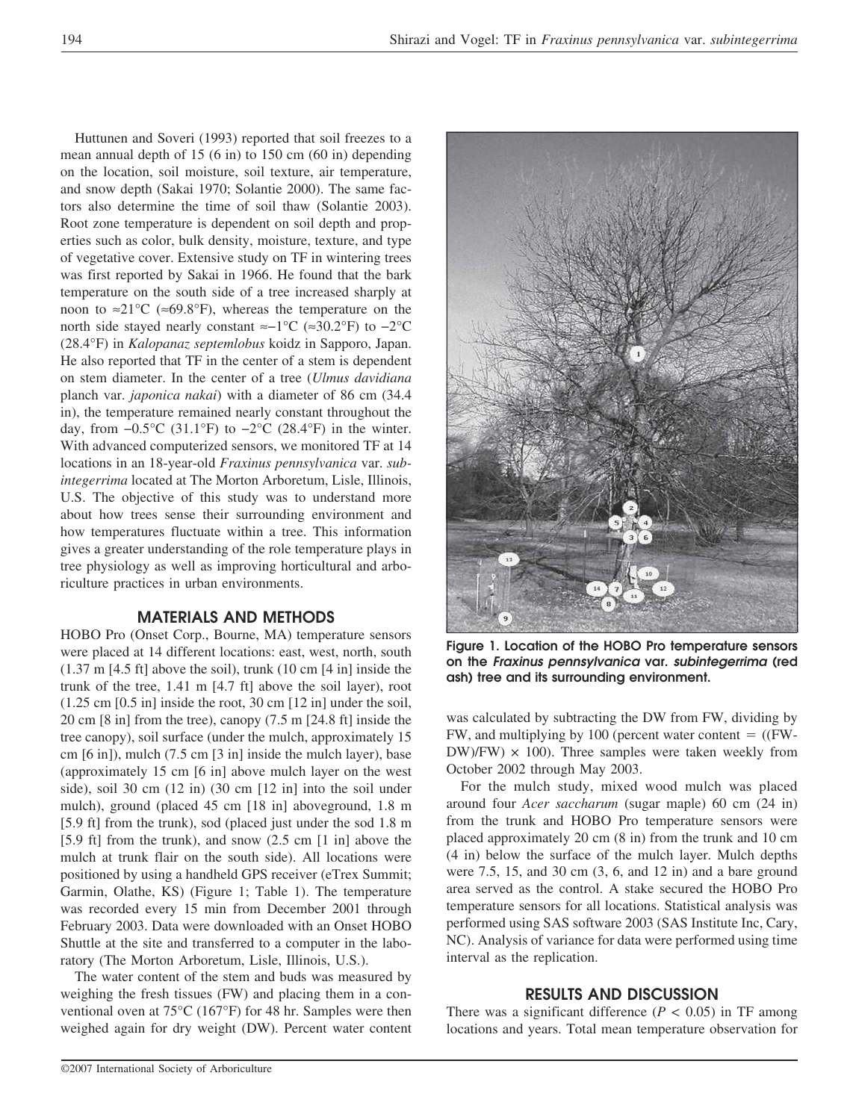Huttunen and Soveri (1993) reported that soil freezes to a mean annual depth of 15 (6 in) to 150 cm (60 in) depending on the location, soil moisture, soil texture, air temperature, and snow depth (Sakai 1970; Solantie 2000). The same factors also determine the time of soil thaw (Solantie 2003). Root zone temperature is dependent on soil depth and properties such as color, bulk density, moisture, texture, and type of vegetative cover. Extensive study on TF in wintering trees was first reported by Sakai in 1966. He found that the bark temperature on the south side of a tree increased sharply at noon to ≈21 $\mathrm{^{\circ}C}$  (≈69.8 $\mathrm{^{\circ}F}$ ), whereas the temperature on the north side stayed nearly constant ≈−1°C (≈30.2°F) to −2°C (28.4°F) in *Kalopanaz septemlobus* koidz in Sapporo, Japan. He also reported that TF in the center of a stem is dependent on stem diameter. In the center of a tree (*Ulmus davidiana* planch var. *japonica nakai*) with a diameter of 86 cm (34.4 in), the temperature remained nearly constant throughout the day, from  $-0.5$ °C (31.1°F) to  $-2$ °C (28.4°F) in the winter. With advanced computerized sensors, we monitored TF at 14 locations in an 18-year-old *Fraxinus pennsylvanica* var. *subintegerrima* located at The Morton Arboretum, Lisle, Illinois, U.S. The objective of this study was to understand more about how trees sense their surrounding environment and how temperatures fluctuate within a tree. This information gives a greater understanding of the role temperature plays in tree physiology as well as improving horticultural and arboriculture practices in urban environments.

## **MATERIALS AND METHODS**

HOBO Pro (Onset Corp., Bourne, MA) temperature sensors were placed at 14 different locations: east, west, north, south (1.37 m [4.5 ft] above the soil), trunk (10 cm [4 in] inside the trunk of the tree, 1.41 m [4.7 ft] above the soil layer), root (1.25 cm [0.5 in] inside the root, 30 cm [12 in] under the soil, 20 cm [8 in] from the tree), canopy (7.5 m [24.8 ft] inside the tree canopy), soil surface (under the mulch, approximately 15 cm [6 in]), mulch (7.5 cm [3 in] inside the mulch layer), base (approximately 15 cm [6 in] above mulch layer on the west side), soil 30 cm (12 in) (30 cm [12 in] into the soil under mulch), ground (placed 45 cm [18 in] aboveground, 1.8 m [5.9 ft] from the trunk), sod (placed just under the sod 1.8 m [5.9 ft] from the trunk), and snow  $(2.5 \text{ cm } [1 \text{ in}]$  above the mulch at trunk flair on the south side). All locations were positioned by using a handheld GPS receiver (eTrex Summit; Garmin, Olathe, KS) (Figure 1; Table 1). The temperature was recorded every 15 min from December 2001 through February 2003. Data were downloaded with an Onset HOBO Shuttle at the site and transferred to a computer in the laboratory (The Morton Arboretum, Lisle, Illinois, U.S.).

The water content of the stem and buds was measured by weighing the fresh tissues (FW) and placing them in a conventional oven at 75°C (167°F) for 48 hr. Samples were then weighed again for dry weight (DW). Percent water content



**Figure 1. Location of the HOBO Pro temperature sensors on the** *Fraxinus pennsylvanica* **var.** *subintegerrima* **(red ash) tree and its surrounding environment.**

was calculated by subtracting the DW from FW, dividing by FW, and multiplying by 100 (percent water content  $=$  ((FW- $DW$ )/FW)  $\times$  100). Three samples were taken weekly from October 2002 through May 2003.

For the mulch study, mixed wood mulch was placed around four *Acer saccharum* (sugar maple) 60 cm (24 in) from the trunk and HOBO Pro temperature sensors were placed approximately 20 cm (8 in) from the trunk and 10 cm (4 in) below the surface of the mulch layer. Mulch depths were 7.5, 15, and 30 cm (3, 6, and 12 in) and a bare ground area served as the control. A stake secured the HOBO Pro temperature sensors for all locations. Statistical analysis was performed using SAS software 2003 (SAS Institute Inc, Cary, NC). Analysis of variance for data were performed using time interval as the replication.

## **RESULTS AND DISCUSSION**

There was a significant difference  $(P < 0.05)$  in TF among locations and years. Total mean temperature observation for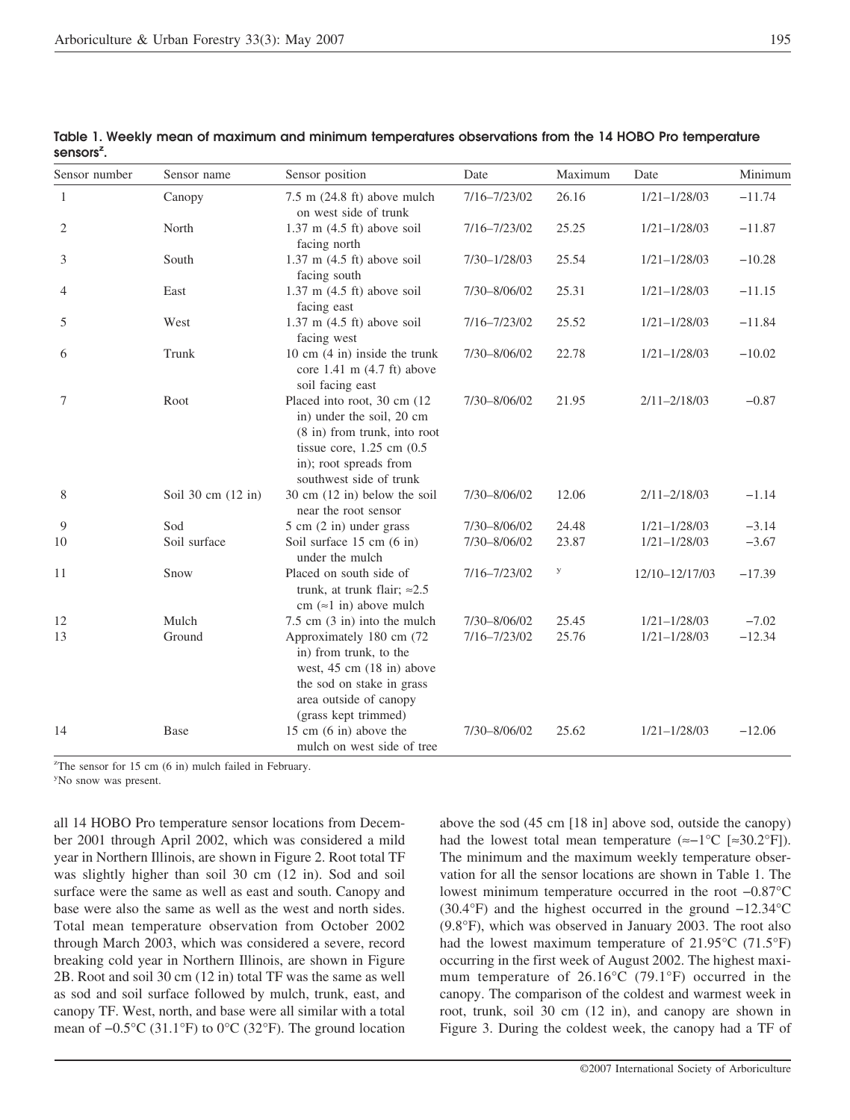| Sensor number | Sensor name        | Sensor position                                                                                                                                                                            | Date         | Maximum | Date             | Minimum  |
|---------------|--------------------|--------------------------------------------------------------------------------------------------------------------------------------------------------------------------------------------|--------------|---------|------------------|----------|
| $\mathbf{1}$  | Canopy             | $7.5$ m $(24.8 \text{ ft})$ above mulch<br>on west side of trunk                                                                                                                           | 7/16-7/23/02 | 26.16   | $1/21 - 1/28/03$ | $-11.74$ |
| 2             | North              | $1.37$ m $(4.5$ ft) above soil<br>facing north                                                                                                                                             | 7/16-7/23/02 | 25.25   | $1/21 - 1/28/03$ | $-11.87$ |
| 3             | South              | $1.37$ m $(4.5$ ft) above soil<br>facing south                                                                                                                                             | 7/30-1/28/03 | 25.54   | $1/21 - 1/28/03$ | $-10.28$ |
| 4             | East               | $1.37$ m $(4.5$ ft) above soil<br>facing east                                                                                                                                              | 7/30-8/06/02 | 25.31   | $1/21 - 1/28/03$ | $-11.15$ |
| 5             | West               | $1.37$ m $(4.5$ ft) above soil<br>facing west                                                                                                                                              | 7/16-7/23/02 | 25.52   | $1/21 - 1/28/03$ | $-11.84$ |
| 6             | Trunk              | 10 cm $(4 \text{ in})$ inside the trunk<br>core $1.41 \text{ m}$ $(4.7 \text{ ft})$ above<br>soil facing east                                                                              | 7/30-8/06/02 | 22.78   | $1/21 - 1/28/03$ | $-10.02$ |
| 7             | Root               | Placed into root, 30 cm (12)<br>in) under the soil, 20 cm<br>$(8 \text{ in})$ from trunk, into root<br>tissue core, $1.25$ cm $(0.5)$<br>in); root spreads from<br>southwest side of trunk | 7/30-8/06/02 | 21.95   | $2/11 - 2/18/03$ | $-0.87$  |
| 8             | Soil 30 cm (12 in) | $30 \text{ cm}$ (12 in) below the soil<br>near the root sensor                                                                                                                             | 7/30-8/06/02 | 12.06   | $2/11 - 2/18/03$ | $-1.14$  |
| 9             | Sod                | $5 \text{ cm}$ (2 in) under grass                                                                                                                                                          | 7/30-8/06/02 | 24.48   | $1/21 - 1/28/03$ | $-3.14$  |
| 10            | Soil surface       | Soil surface $15 \text{ cm}$ (6 in)<br>under the mulch                                                                                                                                     | 7/30-8/06/02 | 23.87   | $1/21 - 1/28/03$ | $-3.67$  |
| 11            | Snow               | Placed on south side of<br>trunk, at trunk flair; $\approx 2.5$<br>cm ( $\approx$ 1 in) above mulch                                                                                        | 7/16-7/23/02 | У       | 12/10-12/17/03   | $-17.39$ |
| 12            | Mulch              | $7.5$ cm $(3 \text{ in})$ into the mulch                                                                                                                                                   | 7/30-8/06/02 | 25.45   | $1/21 - 1/28/03$ | $-7.02$  |
| 13            | Ground             | Approximately 180 cm (72<br>in) from trunk, to the<br>west, $45 \text{ cm}$ (18 in) above<br>the sod on stake in grass<br>area outside of canopy<br>(grass kept trimmed)                   | 7/16-7/23/02 | 25.76   | $1/21 - 1/28/03$ | $-12.34$ |
| 14            | <b>Base</b>        | 15 cm (6 in) above the<br>mulch on west side of tree                                                                                                                                       | 7/30-8/06/02 | 25.62   | $1/21 - 1/28/03$ | $-12.06$ |

**Table 1. Weekly mean of maximum and minimum temperatures observations from the 14 HOBO Pro temperature sensorsz .**

z The sensor for 15 cm (6 in) mulch failed in February.

<sup>y</sup>No snow was present.

all 14 HOBO Pro temperature sensor locations from December 2001 through April 2002, which was considered a mild year in Northern Illinois, are shown in Figure 2. Root total TF was slightly higher than soil 30 cm (12 in). Sod and soil surface were the same as well as east and south. Canopy and base were also the same as well as the west and north sides. Total mean temperature observation from October 2002 through March 2003, which was considered a severe, record breaking cold year in Northern Illinois, are shown in Figure 2B. Root and soil 30 cm (12 in) total TF was the same as well as sod and soil surface followed by mulch, trunk, east, and canopy TF. West, north, and base were all similar with a total mean of −0.5°C (31.1°F) to 0°C (32°F). The ground location

above the sod (45 cm [18 in] above sod, outside the canopy) had the lowest total mean temperature (≈−1°C [≈30.2°F]). The minimum and the maximum weekly temperature observation for all the sensor locations are shown in Table 1. The lowest minimum temperature occurred in the root −0.87°C (30.4°F) and the highest occurred in the ground −12.34°C (9.8°F), which was observed in January 2003. The root also had the lowest maximum temperature of 21.95°C (71.5°F) occurring in the first week of August 2002. The highest maximum temperature of 26.16°C (79.1°F) occurred in the canopy. The comparison of the coldest and warmest week in root, trunk, soil 30 cm (12 in), and canopy are shown in Figure 3. During the coldest week, the canopy had a TF of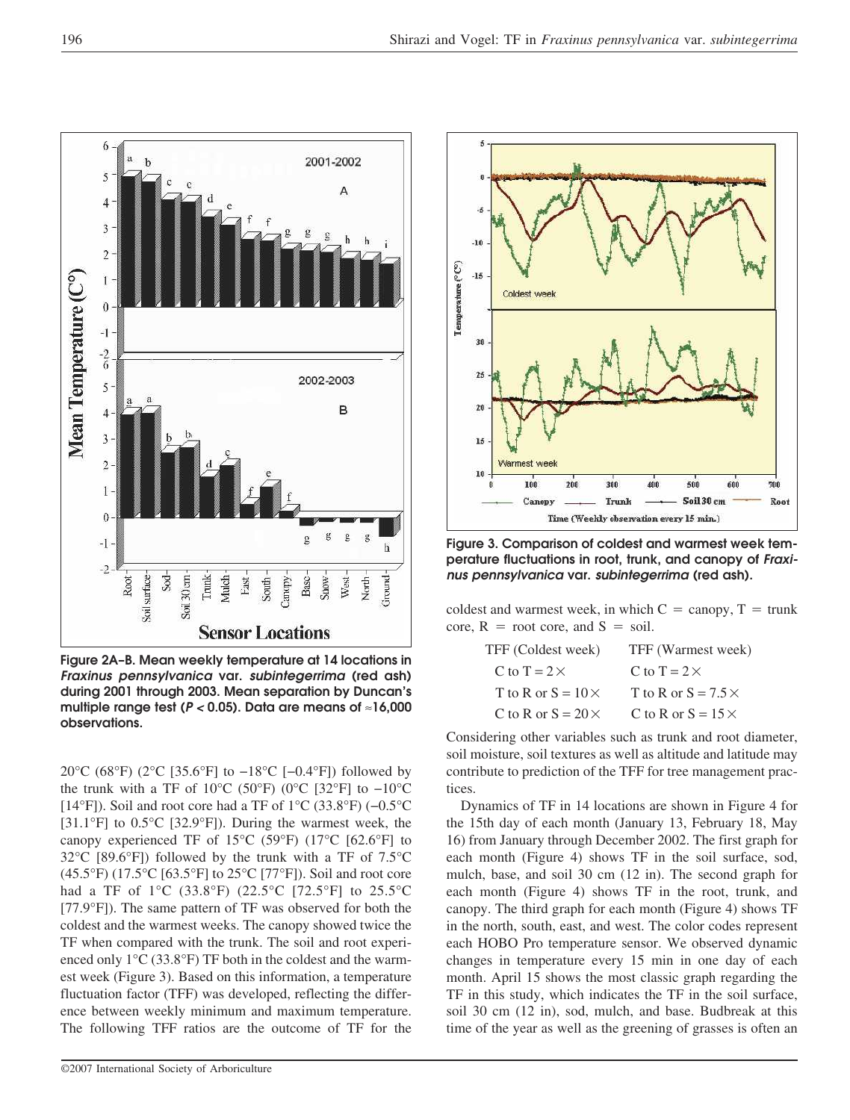2001-2002 5 Α  $\overline{3}$  $\overline{2}$ Mean Temperature (C°)  $\theta$  $\frac{-2}{6}$ 2002-2003 5 B 4 3  $2 -$ 1  $\theta$  $-1$ h  $-2$ Root Ż Soil surface Trunk Mulch **Snow** North<sub></sub> Ground Soil  $30 \text{ cm}$ East West South Canadi **Sensor Locations** 

**Figure 2A–B. Mean weekly temperature at 14 locations in** *Fraxinus pennsylvanica* **var.** *subintegerrima* **(red ash) during 2001 through 2003. Mean separation by Duncan's multiple range test (***P <* **0.05). Data are means of** ≈**16,000 observations.**

20°C (68°F) (2°C [35.6°F] to −18°C [−0.4°F]) followed by the trunk with a TF of  $10^{\circ}$ C (50°F) (0°C [32°F] to  $-10^{\circ}$ C [14°F]). Soil and root core had a TF of 1°C (33.8°F) (−0.5°C [31.1°F] to 0.5°C [32.9°F]). During the warmest week, the canopy experienced TF of 15°C (59°F) (17°C [62.6°F] to 32°C [89.6°F]) followed by the trunk with a TF of 7.5°C  $(45.5^{\circ}\text{F})$   $(17.5^{\circ}\text{C}$   $[63.5^{\circ}\text{F}]$  to  $25^{\circ}\text{C}$   $[77^{\circ}\text{F}]$ ). Soil and root core had a TF of 1°C (33.8°F) (22.5°C [72.5°F] to 25.5°C [77.9°F]). The same pattern of TF was observed for both the coldest and the warmest weeks. The canopy showed twice the TF when compared with the trunk. The soil and root experienced only 1°C (33.8°F) TF both in the coldest and the warmest week (Figure 3). Based on this information, a temperature fluctuation factor (TFF) was developed, reflecting the difference between weekly minimum and maximum temperature. The following TFF ratios are the outcome of TF for the



**Figure 3. Comparison of coldest and warmest week temperature fluctuations in root, trunk, and canopy of** *Fraxinus pennsylvanica* **var.** *subintegerrima* **(red ash).**

coldest and warmest week, in which  $C = \text{canopy}, T = \text{trunk}$ core,  $R = root core$ , and  $S = soil$ .

| TFF (Coldest week)        | TFF (Warmest week)         |  |  |
|---------------------------|----------------------------|--|--|
| C to $T = 2 \times$       | C to $T = 2 \times$        |  |  |
| T to R or $S = 10 \times$ | T to R or $S = 7.5 \times$ |  |  |
| C to R or $S = 20 \times$ | C to R or $S = 15 \times$  |  |  |

Considering other variables such as trunk and root diameter, soil moisture, soil textures as well as altitude and latitude may contribute to prediction of the TFF for tree management practices.

Dynamics of TF in 14 locations are shown in Figure 4 for the 15th day of each month (January 13, February 18, May 16) from January through December 2002. The first graph for each month (Figure 4) shows TF in the soil surface, sod, mulch, base, and soil 30 cm (12 in). The second graph for each month (Figure 4) shows TF in the root, trunk, and canopy. The third graph for each month (Figure 4) shows TF in the north, south, east, and west. The color codes represent each HOBO Pro temperature sensor. We observed dynamic changes in temperature every 15 min in one day of each month. April 15 shows the most classic graph regarding the TF in this study, which indicates the TF in the soil surface, soil 30 cm (12 in), sod, mulch, and base. Budbreak at this time of the year as well as the greening of grasses is often an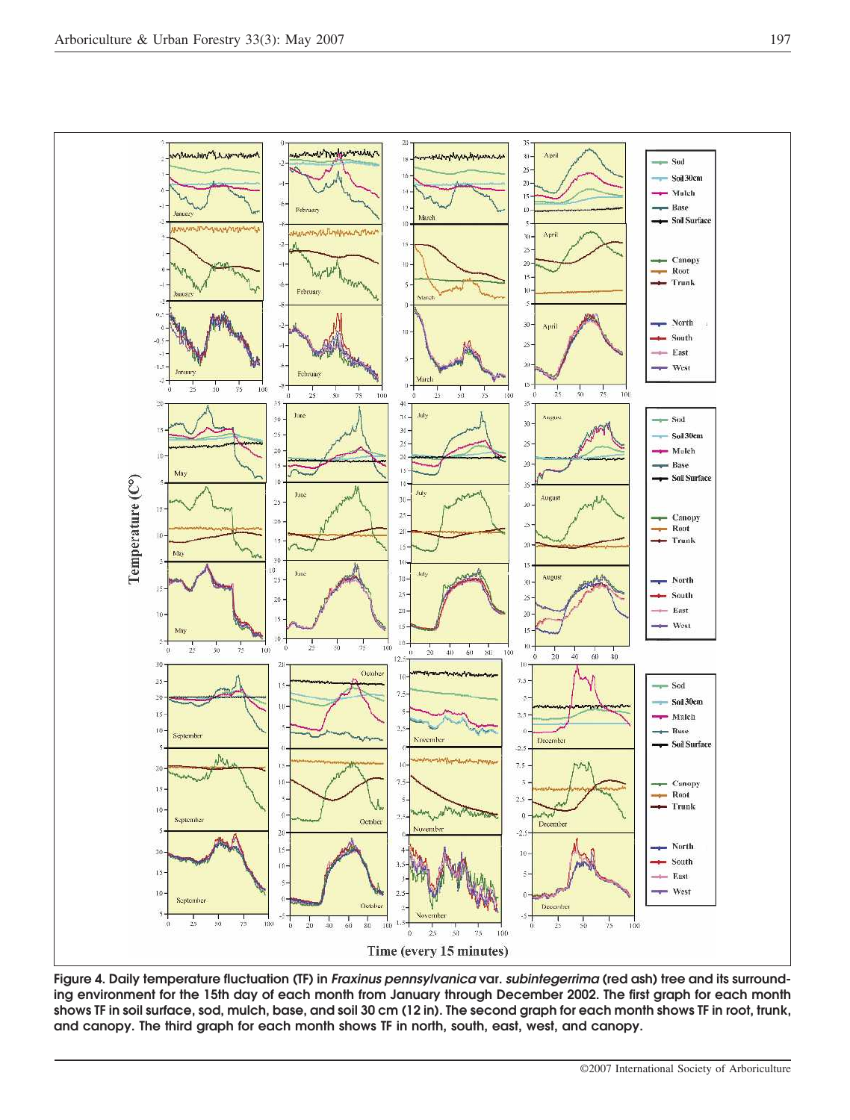

**Figure 4. Daily temperature fluctuation (TF) in** *Fraxinus pennsylvanica* **var.** *subintegerrima* **(red ash) tree and its surrounding environment for the 15th day of each month from January through December 2002. The first graph for each month shows TF in soil surface, sod, mulch, base, and soil 30 cm (12 in). The second graph for each month shows TF in root, trunk, and canopy. The third graph for each month shows TF in north, south, east, west, and canopy.**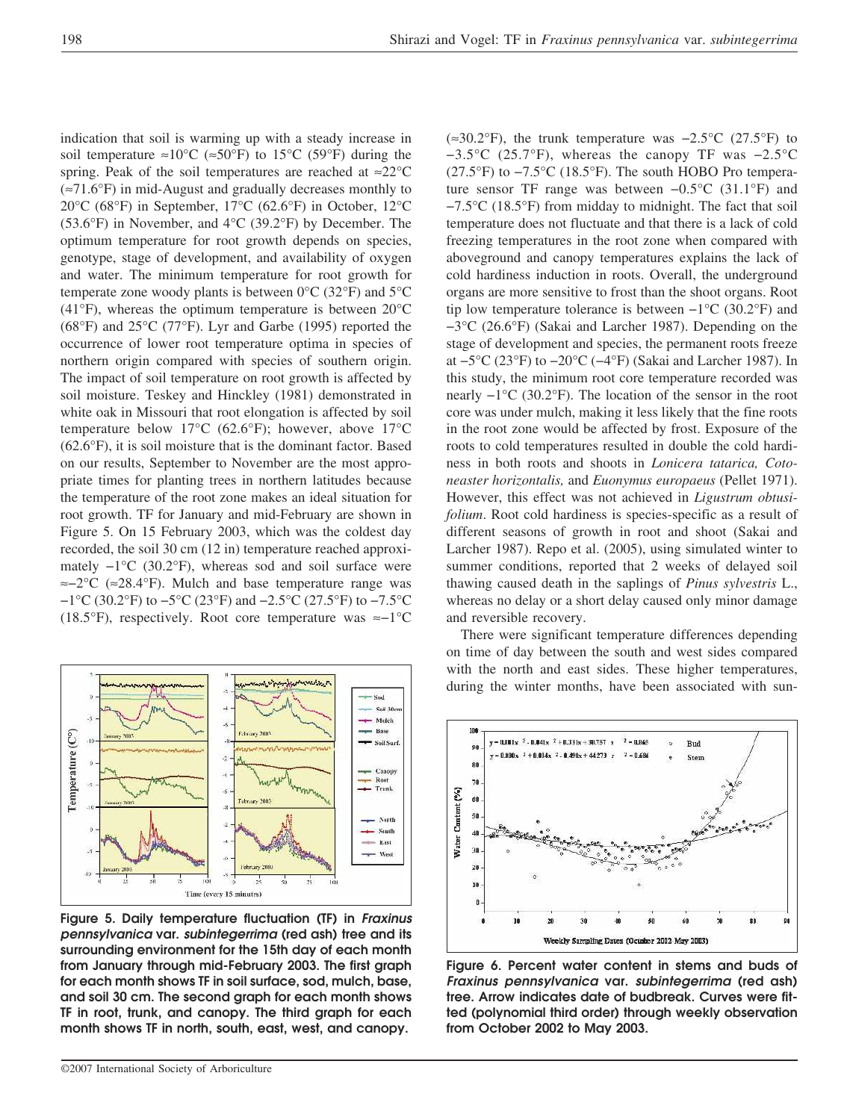indication that soil is warming up with a steady increase in soil temperature ≈10°C (≈50°F) to 15°C (59°F) during the spring. Peak of the soil temperatures are reached at ≈22°C (≈71.6°F) in mid-August and gradually decreases monthly to 20°C (68°F) in September, 17°C (62.6°F) in October, 12°C (53.6°F) in November, and 4°C (39.2°F) by December. The optimum temperature for root growth depends on species, genotype, stage of development, and availability of oxygen and water. The minimum temperature for root growth for temperate zone woody plants is between 0°C (32°F) and 5°C (41 $\degree$ F), whereas the optimum temperature is between 20 $\degree$ C (68°F) and 25°C (77°F). Lyr and Garbe (1995) reported the occurrence of lower root temperature optima in species of northern origin compared with species of southern origin. The impact of soil temperature on root growth is affected by soil moisture. Teskey and Hinckley (1981) demonstrated in white oak in Missouri that root elongation is affected by soil temperature below 17°C (62.6°F); however, above 17°C (62.6°F), it is soil moisture that is the dominant factor. Based on our results, September to November are the most appropriate times for planting trees in northern latitudes because the temperature of the root zone makes an ideal situation for root growth. TF for January and mid-February are shown in Figure 5. On 15 February 2003, which was the coldest day recorded, the soil 30 cm (12 in) temperature reached approximately −1°C (30.2°F), whereas sod and soil surface were ≈−2°C (≈28.4°F). Mulch and base temperature range was −1°C (30.2°F) to −5°C (23°F) and −2.5°C (27.5°F) to −7.5°C (18.5°F), respectively. Root core temperature was ≈−1°C



**Figure 5. Daily temperature fluctuation (TF) in** *Fraxinus pennsylvanica* **var.** *subintegerrima* **(red ash) tree and its surrounding environment for the 15th day of each month from January through mid-February 2003. The first graph for each month shows TF in soil surface, sod, mulch, base, and soil 30 cm. The second graph for each month shows TF in root, trunk, and canopy. The third graph for each month shows TF in north, south, east, west, and canopy.**

(≈30.2°F), the trunk temperature was  $-2.5$ °C (27.5°F) to −3.5°C (25.7°F), whereas the canopy TF was −2.5°C (27.5°F) to  $-7.5$ °C (18.5°F). The south HOBO Pro temperature sensor TF range was between −0.5°C (31.1°F) and −7.5°C (18.5°F) from midday to midnight. The fact that soil temperature does not fluctuate and that there is a lack of cold freezing temperatures in the root zone when compared with aboveground and canopy temperatures explains the lack of cold hardiness induction in roots. Overall, the underground organs are more sensitive to frost than the shoot organs. Root tip low temperature tolerance is between −1°C (30.2°F) and −3°C (26.6°F) (Sakai and Larcher 1987). Depending on the stage of development and species, the permanent roots freeze at −5°C (23°F) to −20°C (−4°F) (Sakai and Larcher 1987). In this study, the minimum root core temperature recorded was nearly −1°C (30.2°F). The location of the sensor in the root core was under mulch, making it less likely that the fine roots in the root zone would be affected by frost. Exposure of the roots to cold temperatures resulted in double the cold hardiness in both roots and shoots in *Lonicera tatarica, Cotoneaster horizontalis,* and *Euonymus europaeus* (Pellet 1971). However, this effect was not achieved in *Ligustrum obtusifolium*. Root cold hardiness is species-specific as a result of different seasons of growth in root and shoot (Sakai and Larcher 1987). Repo et al. (2005), using simulated winter to summer conditions, reported that 2 weeks of delayed soil thawing caused death in the saplings of *Pinus sylvestris* L., whereas no delay or a short delay caused only minor damage and reversible recovery.

There were significant temperature differences depending on time of day between the south and west sides compared with the north and east sides. These higher temperatures, during the winter months, have been associated with sun-



**Figure 6. Percent water content in stems and buds of** *Fraxinus pennsylvanica* **var.** *subintegerrima* **(red ash) tree. Arrow indicates date of budbreak. Curves were fitted (polynomial third order) through weekly observation from October 2002 to May 2003.**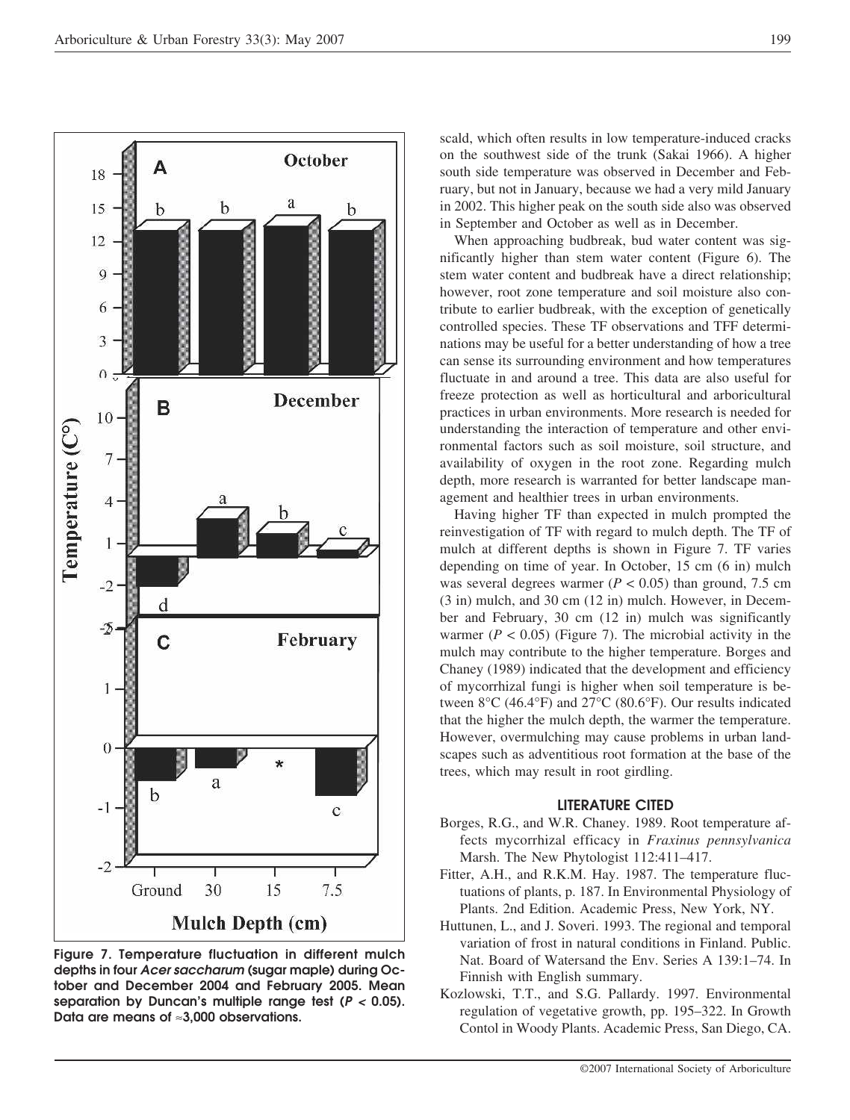

**Figure 7. Temperature fluctuation in different mulch depths in four** *Acer saccharum* **(sugar maple) during October and December 2004 and February 2005. Mean separation by Duncan's multiple range test (***P <* **0.05). Data are means of** ≈**3,000 observations.**

scald, which often results in low temperature-induced cracks on the southwest side of the trunk (Sakai 1966). A higher south side temperature was observed in December and February, but not in January, because we had a very mild January in 2002. This higher peak on the south side also was observed in September and October as well as in December.

When approaching budbreak, bud water content was significantly higher than stem water content (Figure 6). The stem water content and budbreak have a direct relationship; however, root zone temperature and soil moisture also contribute to earlier budbreak, with the exception of genetically controlled species. These TF observations and TFF determinations may be useful for a better understanding of how a tree can sense its surrounding environment and how temperatures fluctuate in and around a tree. This data are also useful for freeze protection as well as horticultural and arboricultural practices in urban environments. More research is needed for understanding the interaction of temperature and other environmental factors such as soil moisture, soil structure, and availability of oxygen in the root zone. Regarding mulch depth, more research is warranted for better landscape management and healthier trees in urban environments.

Having higher TF than expected in mulch prompted the reinvestigation of TF with regard to mulch depth. The TF of mulch at different depths is shown in Figure 7. TF varies depending on time of year. In October, 15 cm (6 in) mulch was several degrees warmer ( $P < 0.05$ ) than ground, 7.5 cm (3 in) mulch, and 30 cm (12 in) mulch. However, in December and February, 30 cm (12 in) mulch was significantly warmer  $(P < 0.05)$  (Figure 7). The microbial activity in the mulch may contribute to the higher temperature. Borges and Chaney (1989) indicated that the development and efficiency of mycorrhizal fungi is higher when soil temperature is between 8°C (46.4°F) and 27°C (80.6°F). Our results indicated that the higher the mulch depth, the warmer the temperature. However, overmulching may cause problems in urban landscapes such as adventitious root formation at the base of the trees, which may result in root girdling.

## **LITERATURE CITED**

- Borges, R.G., and W.R. Chaney. 1989. Root temperature affects mycorrhizal efficacy in *Fraxinus pennsylvanica* Marsh. The New Phytologist 112:411–417.
- Fitter, A.H., and R.K.M. Hay. 1987. The temperature fluctuations of plants, p. 187. In Environmental Physiology of Plants. 2nd Edition. Academic Press, New York, NY.
- Huttunen, L., and J. Soveri. 1993. The regional and temporal variation of frost in natural conditions in Finland. Public. Nat. Board of Watersand the Env. Series A 139:1–74. In Finnish with English summary.
- Kozlowski, T.T., and S.G. Pallardy. 1997. Environmental regulation of vegetative growth, pp. 195–322. In Growth Contol in Woody Plants. Academic Press, San Diego, CA.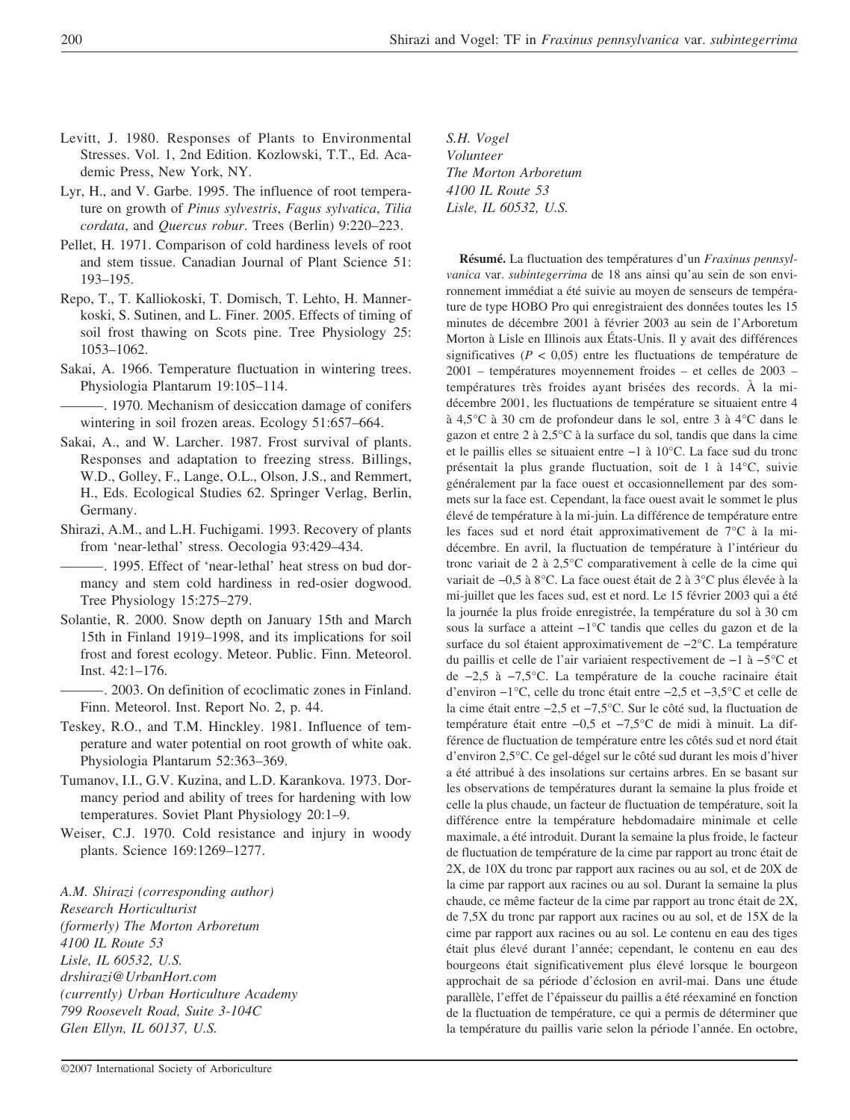©2007 International Society of Arboriculture

- Levitt, J. 1980. Responses of Plants to Environmental Stresses. Vol. 1, 2nd Edition. Kozlowski, T.T., Ed. Academic Press, New York, NY.
- Lyr, H., and V. Garbe. 1995. The influence of root temperature on growth of *Pinus sylvestris*, *Fagus sylvatica*, *Tilia cordata*, and *Quercus robur*. Trees (Berlin) 9:220–223.
- Pellet, H. 1971. Comparison of cold hardiness levels of root and stem tissue. Canadian Journal of Plant Science 51: 193–195.
- Repo, T., T. Kalliokoski, T. Domisch, T. Lehto, H. Mannerkoski, S. Sutinen, and L. Finer. 2005. Effects of timing of soil frost thawing on Scots pine. Tree Physiology 25: 1053–1062.
- Sakai, A. 1966. Temperature fluctuation in wintering trees. Physiologia Plantarum 19:105–114.
- ———. 1970. Mechanism of desiccation damage of conifers wintering in soil frozen areas. Ecology 51:657–664.
- Sakai, A., and W. Larcher. 1987. Frost survival of plants. Responses and adaptation to freezing stress. Billings, W.D., Golley, F., Lange, O.L., Olson, J.S., and Remmert, H., Eds. Ecological Studies 62. Springer Verlag, Berlin, Germany.
- Shirazi, A.M., and L.H. Fuchigami. 1993. Recovery of plants from 'near-lethal' stress. Oecologia 93:429–434.
- -. 1995. Effect of 'near-lethal' heat stress on bud dormancy and stem cold hardiness in red-osier dogwood. Tree Physiology 15:275–279.
- Solantie, R. 2000. Snow depth on January 15th and March 15th in Finland 1919–1998, and its implications for soil frost and forest ecology. Meteor. Public. Finn. Meteorol. Inst. 42:1–176.
	- ———. 2003. On definition of ecoclimatic zones in Finland. Finn. Meteorol. Inst. Report No. 2, p. 44.
- Teskey, R.O., and T.M. Hinckley. 1981. Influence of temperature and water potential on root growth of white oak. Physiologia Plantarum 52:363–369.
- Tumanov, I.I., G.V. Kuzina, and L.D. Karankova. 1973. Dormancy period and ability of trees for hardening with low temperatures. Soviet Plant Physiology 20:1–9.
- Weiser, C.J. 1970. Cold resistance and injury in woody plants. Science 169:1269–1277.

*A.M. Shirazi (corresponding author) Research Horticulturist (formerly) The Morton Arboretum 4100 IL Route 53 Lisle, IL 60532, U.S. drshirazi@UrbanHort.com (currently) Urban Horticulture Academy 799 Roosevelt Road, Suite 3-104C Glen Ellyn, IL 60137, U.S.*

*S.H. Vogel Volunteer The Morton Arboretum 4100 IL Route 53 Lisle, IL 60532, U.S.*

**Résumé.** La fluctuation des températures d'un *Fraxinus pennsylvanica* var. *subintegerrima* de 18 ans ainsi qu'au sein de son environnement immédiat a été suivie au moyen de senseurs de température de type HOBO Pro qui enregistraient des données toutes les 15 minutes de décembre 2001 à février 2003 au sein de l'Arboretum Morton à Lisle en Illinois aux États-Unis. Il y avait des différences significatives (*P* < 0,05) entre les fluctuations de température de 2001 – températures moyennement froides – et celles de 2003 – températures très froides ayant brisées des records. À la midécembre 2001, les fluctuations de température se situaient entre 4 à 4,5°C à 30 cm de profondeur dans le sol, entre 3 à 4°C dans le gazon et entre 2 à 2,5°C à la surface du sol, tandis que dans la cime et le paillis elles se situaient entre −1 à 10°C. La face sud du tronc présentait la plus grande fluctuation, soit de 1 à 14°C, suivie généralement par la face ouest et occasionnellement par des sommets sur la face est. Cependant, la face ouest avait le sommet le plus élevé de température à la mi-juin. La différence de température entre les faces sud et nord était approximativement de 7°C à la midécembre. En avril, la fluctuation de température à l'intérieur du tronc variait de 2 à 2,5°C comparativement à celle de la cime qui variait de −0,5 à 8°C. La face ouest était de 2 à 3°C plus élevée à la mi-juillet que les faces sud, est et nord. Le 15 février 2003 qui a été la journée la plus froide enregistrée, la température du sol à 30 cm sous la surface a atteint −1°C tandis que celles du gazon et de la surface du sol étaient approximativement de −2°C. La température du paillis et celle de l'air variaient respectivement de −1 à −5°C et de −2,5 à −7,5°C. La température de la couche racinaire était d'environ −1°C, celle du tronc était entre −2,5 et −3,5°C et celle de la cime était entre −2,5 et −7,5°C. Sur le côté sud, la fluctuation de température était entre −0,5 et −7,5°C de midi à minuit. La différence de fluctuation de température entre les côtés sud et nord était d'environ 2,5°C. Ce gel-dégel sur le côté sud durant les mois d'hiver a été attribué à des insolations sur certains arbres. En se basant sur les observations de températures durant la semaine la plus froide et celle la plus chaude, un facteur de fluctuation de température, soit la différence entre la température hebdomadaire minimale et celle maximale, a été introduit. Durant la semaine la plus froide, le facteur de fluctuation de température de la cime par rapport au tronc était de 2X, de 10X du tronc par rapport aux racines ou au sol, et de 20X de la cime par rapport aux racines ou au sol. Durant la semaine la plus chaude, ce même facteur de la cime par rapport au tronc était de 2X, de 7,5X du tronc par rapport aux racines ou au sol, et de 15X de la cime par rapport aux racines ou au sol. Le contenu en eau des tiges était plus élevé durant l'année; cependant, le contenu en eau des bourgeons était significativement plus élevé lorsque le bourgeon approchait de sa période d'éclosion en avril-mai. Dans une étude parallèle, l'effet de l'épaisseur du paillis a été réexaminé en fonction de la fluctuation de température, ce qui a permis de déterminer que la température du paillis varie selon la période l'année. En octobre,